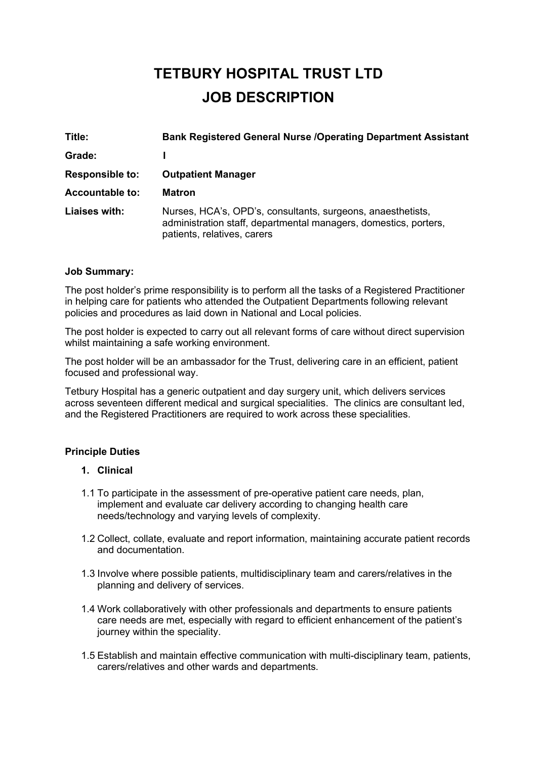# **TETBURY HOSPITAL TRUST LTD JOB DESCRIPTION**

| Title:                 | <b>Bank Registered General Nurse /Operating Department Assistant</b>                                                                                           |
|------------------------|----------------------------------------------------------------------------------------------------------------------------------------------------------------|
| Grade:                 |                                                                                                                                                                |
| <b>Responsible to:</b> | <b>Outpatient Manager</b>                                                                                                                                      |
| <b>Accountable to:</b> | <b>Matron</b>                                                                                                                                                  |
| Liaises with:          | Nurses, HCA's, OPD's, consultants, surgeons, anaesthetists,<br>administration staff, departmental managers, domestics, porters,<br>patients, relatives, carers |

#### **Job Summary:**

The post holder's prime responsibility is to perform all the tasks of a Registered Practitioner in helping care for patients who attended the Outpatient Departments following relevant policies and procedures as laid down in National and Local policies.

The post holder is expected to carry out all relevant forms of care without direct supervision whilst maintaining a safe working environment.

The post holder will be an ambassador for the Trust, delivering care in an efficient, patient focused and professional way.

Tetbury Hospital has a generic outpatient and day surgery unit, which delivers services across seventeen different medical and surgical specialities. The clinics are consultant led, and the Registered Practitioners are required to work across these specialities.

# **Principle Duties**

#### **1. Clinical**

- 1.1 To participate in the assessment of pre-operative patient care needs, plan, implement and evaluate car delivery according to changing health care needs/technology and varying levels of complexity.
- 1.2 Collect, collate, evaluate and report information, maintaining accurate patient records and documentation.
- 1.3 Involve where possible patients, multidisciplinary team and carers/relatives in the planning and delivery of services.
- 1.4 Work collaboratively with other professionals and departments to ensure patients care needs are met, especially with regard to efficient enhancement of the patient's journey within the speciality.
- 1.5 Establish and maintain effective communication with multi-disciplinary team, patients, carers/relatives and other wards and departments.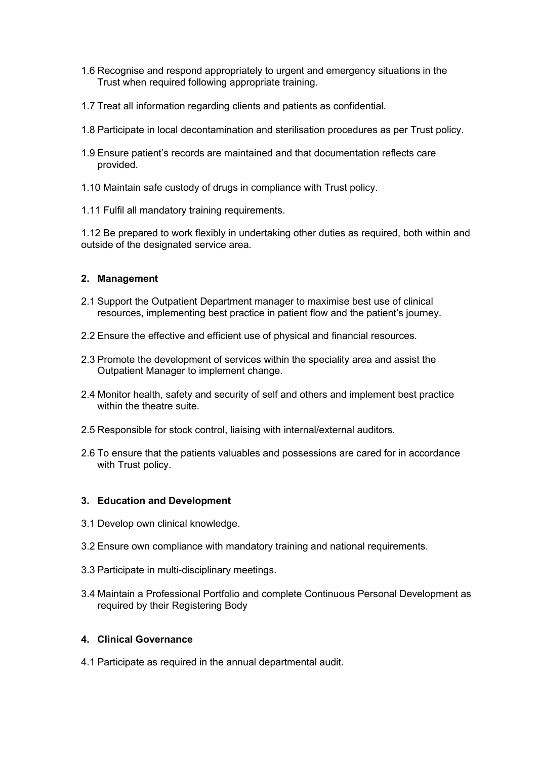- 1.6 Recognise and respond appropriately to urgent and emergency situations in the Trust when required following appropriate training.
- 1.7 Treat all information regarding clients and patients as confidential.
- 1.8 Participate in local decontamination and sterilisation procedures as per Trust policy.
- 1.9 Ensure patient's records are maintained and that documentation reflects care provided.
- 1.10 Maintain safe custody of drugs in compliance with Trust policy.
- 1.11 Fulfil all mandatory training requirements.

1.12 Be prepared to work flexibly in undertaking other duties as required, both within and outside of the designated service area.

#### **2. Management**

- 2.1 Support the Outpatient Department manager to maximise best use of clinical resources, implementing best practice in patient flow and the patient's journey.
- 2.2 Ensure the effective and efficient use of physical and financial resources.
- 2.3 Promote the development of services within the speciality area and assist the Outpatient Manager to implement change.
- 2.4 Monitor health, safety and security of self and others and implement best practice within the theatre suite.
- 2.5 Responsible for stock control, liaising with internal/external auditors.
- 2.6 To ensure that the patients valuables and possessions are cared for in accordance with Trust policy.

#### **3. Education and Development**

- 3.1 Develop own clinical knowledge.
- 3.2 Ensure own compliance with mandatory training and national requirements.
- 3.3 Participate in multi-disciplinary meetings.
- 3.4 Maintain a Professional Portfolio and complete Continuous Personal Development as required by their Registering Body

#### **4. Clinical Governance**

4.1 Participate as required in the annual departmental audit.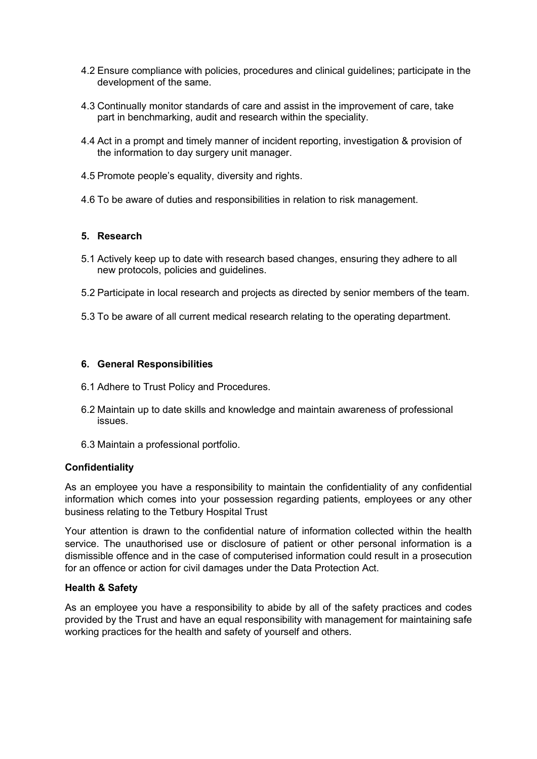- 4.2 Ensure compliance with policies, procedures and clinical guidelines; participate in the development of the same.
- 4.3 Continually monitor standards of care and assist in the improvement of care, take part in benchmarking, audit and research within the speciality.
- 4.4 Act in a prompt and timely manner of incident reporting, investigation & provision of the information to day surgery unit manager.
- 4.5 Promote people's equality, diversity and rights.
- 4.6 To be aware of duties and responsibilities in relation to risk management.

#### **5. Research**

- 5.1 Actively keep up to date with research based changes, ensuring they adhere to all new protocols, policies and guidelines.
- 5.2 Participate in local research and projects as directed by senior members of the team.
- 5.3 To be aware of all current medical research relating to the operating department.

#### **6. General Responsibilities**

- 6.1 Adhere to Trust Policy and Procedures.
- 6.2 Maintain up to date skills and knowledge and maintain awareness of professional issues.
- 6.3 Maintain a professional portfolio.

#### **Confidentiality**

As an employee you have a responsibility to maintain the confidentiality of any confidential information which comes into your possession regarding patients, employees or any other business relating to the Tetbury Hospital Trust

Your attention is drawn to the confidential nature of information collected within the health service. The unauthorised use or disclosure of patient or other personal information is a dismissible offence and in the case of computerised information could result in a prosecution for an offence or action for civil damages under the Data Protection Act.

# **Health & Safety**

As an employee you have a responsibility to abide by all of the safety practices and codes provided by the Trust and have an equal responsibility with management for maintaining safe working practices for the health and safety of yourself and others.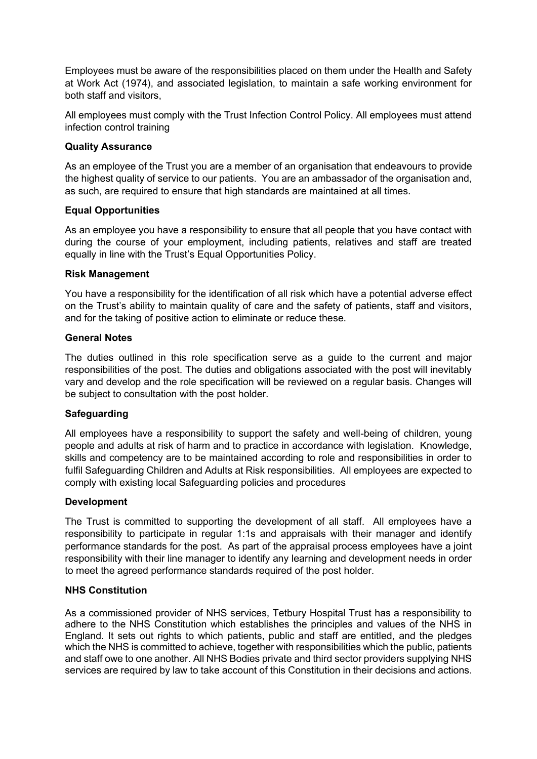Employees must be aware of the responsibilities placed on them under the Health and Safety at Work Act (1974), and associated legislation, to maintain a safe working environment for both staff and visitors,

All employees must comply with the Trust Infection Control Policy. All employees must attend infection control training

# **Quality Assurance**

As an employee of the Trust you are a member of an organisation that endeavours to provide the highest quality of service to our patients. You are an ambassador of the organisation and, as such, are required to ensure that high standards are maintained at all times.

# **Equal Opportunities**

As an employee you have a responsibility to ensure that all people that you have contact with during the course of your employment, including patients, relatives and staff are treated equally in line with the Trust's Equal Opportunities Policy.

# **Risk Management**

You have a responsibility for the identification of all risk which have a potential adverse effect on the Trust's ability to maintain quality of care and the safety of patients, staff and visitors, and for the taking of positive action to eliminate or reduce these.

# **General Notes**

The duties outlined in this role specification serve as a guide to the current and major responsibilities of the post. The duties and obligations associated with the post will inevitably vary and develop and the role specification will be reviewed on a regular basis. Changes will be subject to consultation with the post holder.

# **Safeguarding**

All employees have a responsibility to support the safety and well-being of children, young people and adults at risk of harm and to practice in accordance with legislation. Knowledge, skills and competency are to be maintained according to role and responsibilities in order to fulfil Safeguarding Children and Adults at Risk responsibilities. All employees are expected to comply with existing local Safeguarding policies and procedures

# **Development**

The Trust is committed to supporting the development of all staff. All employees have a responsibility to participate in regular 1:1s and appraisals with their manager and identify performance standards for the post. As part of the appraisal process employees have a joint responsibility with their line manager to identify any learning and development needs in order to meet the agreed performance standards required of the post holder.

# **NHS Constitution**

As a commissioned provider of NHS services, Tetbury Hospital Trust has a responsibility to adhere to the NHS Constitution which establishes the principles and values of the NHS in England. It sets out rights to which patients, public and staff are entitled, and the pledges which the NHS is committed to achieve, together with responsibilities which the public, patients and staff owe to one another. All NHS Bodies private and third sector providers supplying NHS services are required by law to take account of this Constitution in their decisions and actions.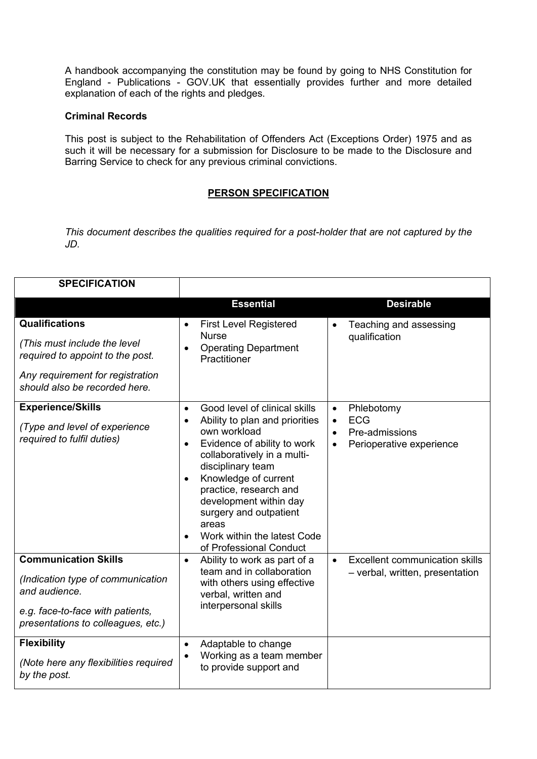A handbook accompanying the constitution may be found by going to [NHS Constitution for](https://www.gov.uk/government/publications/the-nhs-constitution-for-england)  England - [Publications -](https://www.gov.uk/government/publications/the-nhs-constitution-for-england) GOV.UK that essentially provides further and more detailed explanation of each of the rights and pledges.

#### **Criminal Records**

This post is subject to the Rehabilitation of Offenders Act (Exceptions Order) 1975 and as such it will be necessary for a submission for Disclosure to be made to the Disclosure and Barring Service to check for any previous criminal convictions.

# **PERSON SPECIFICATION**

*This document describes the qualities required for a post-holder that are not captured by the JD.* 

| <b>SPECIFICATION</b>                                                                                                                                           |                                                                                                                                                                                                                                                                                                                                                                       |                                                                                                                            |
|----------------------------------------------------------------------------------------------------------------------------------------------------------------|-----------------------------------------------------------------------------------------------------------------------------------------------------------------------------------------------------------------------------------------------------------------------------------------------------------------------------------------------------------------------|----------------------------------------------------------------------------------------------------------------------------|
|                                                                                                                                                                | <b>Essential</b>                                                                                                                                                                                                                                                                                                                                                      | <b>Desirable</b>                                                                                                           |
| <b>Qualifications</b><br>(This must include the level<br>required to appoint to the post.<br>Any requirement for registration<br>should also be recorded here. | <b>First Level Registered</b><br><b>Nurse</b><br><b>Operating Department</b><br>Practitioner                                                                                                                                                                                                                                                                          | Teaching and assessing<br>qualification                                                                                    |
| <b>Experience/Skills</b><br>(Type and level of experience<br>required to fulfil duties)                                                                        | Good level of clinical skills<br>$\bullet$<br>Ability to plan and priorities<br>own workload<br>Evidence of ability to work<br>$\bullet$<br>collaboratively in a multi-<br>disciplinary team<br>Knowledge of current<br>practice, research and<br>development within day<br>surgery and outpatient<br>areas<br>Work within the latest Code<br>of Professional Conduct | Phlebotomy<br>$\bullet$<br><b>ECG</b><br>$\bullet$<br>Pre-admissions<br>$\bullet$<br>Perioperative experience<br>$\bullet$ |
| <b>Communication Skills</b><br>(Indication type of communication<br>and audience.<br>e.g. face-to-face with patients,<br>presentations to colleagues, etc.)    | Ability to work as part of a<br>$\bullet$<br>team and in collaboration<br>with others using effective<br>verbal, written and<br>interpersonal skills                                                                                                                                                                                                                  | <b>Excellent communication skills</b><br>$\bullet$<br>- verbal, written, presentation                                      |
| <b>Flexibility</b><br>(Note here any flexibilities required<br>by the post.                                                                                    | Adaptable to change<br>$\bullet$<br>Working as a team member<br>to provide support and                                                                                                                                                                                                                                                                                |                                                                                                                            |